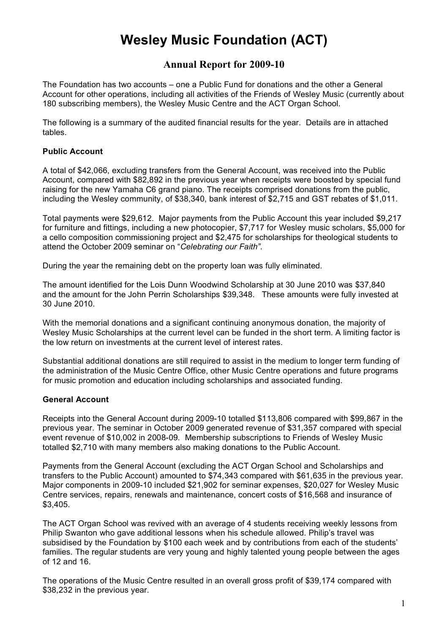# **Wesley Music Foundation (ACT)**

## **Annual Report for 2009-10**

The Foundation has two accounts – one a Public Fund for donations and the other a General Account for other operations, including all activities of the Friends of Wesley Music (currently about 180 subscribing members), the Wesley Music Centre and the ACT Organ School.

The following is a summary of the audited financial results for the year. Details are in attached tables.

#### **Public Account**

A total of \$42,066, excluding transfers from the General Account, was received into the Public Account, compared with \$82,892 in the previous year when receipts were boosted by special fund raising for the new Yamaha C6 grand piano. The receipts comprised donations from the public, including the Wesley community, of \$38,340, bank interest of \$2,715 and GST rebates of \$1,011.

Total payments were \$29,612. Major payments from the Public Account this year included \$9,217 for furniture and fittings, including a new photocopier, \$7,717 for Wesley music scholars, \$5,000 for a cello composition commissioning project and \$2,475 for scholarships for theological students to attend the October 2009 seminar on "*Celebrating our Faith"*.

During the year the remaining debt on the property loan was fully eliminated.

The amount identified for the Lois Dunn Woodwind Scholarship at 30 June 2010 was \$37,840 and the amount for the John Perrin Scholarships \$39,348. These amounts were fully invested at 30 June 2010.

With the memorial donations and a significant continuing anonymous donation, the majority of Wesley Music Scholarships at the current level can be funded in the short term. A limiting factor is the low return on investments at the current level of interest rates.

Substantial additional donations are still required to assist in the medium to longer term funding of the administration of the Music Centre Office, other Music Centre operations and future programs for music promotion and education including scholarships and associated funding.

#### **General Account**

Receipts into the General Account during 2009-10 totalled \$113,806 compared with \$99,867 in the previous year. The seminar in October 2009 generated revenue of \$31,357 compared with special event revenue of \$10,002 in 2008-09. Membership subscriptions to Friends of Wesley Music totalled \$2,710 with many members also making donations to the Public Account.

Payments from the General Account (excluding the ACT Organ School and Scholarships and transfers to the Public Account) amounted to \$74,343 compared with \$61,635 in the previous year. Major components in 2009-10 included \$21,902 for seminar expenses, \$20,027 for Wesley Music Centre services, repairs, renewals and maintenance, concert costs of \$16,568 and insurance of \$3,405.

The ACT Organ School was revived with an average of 4 students receiving weekly lessons from Philip Swanton who gave additional lessons when his schedule allowed. Philip's travel was subsidised by the Foundation by \$100 each week and by contributions from each of the students' families. The regular students are very young and highly talented young people between the ages of 12 and 16.

The operations of the Music Centre resulted in an overall gross profit of \$39,174 compared with \$38,232 in the previous year.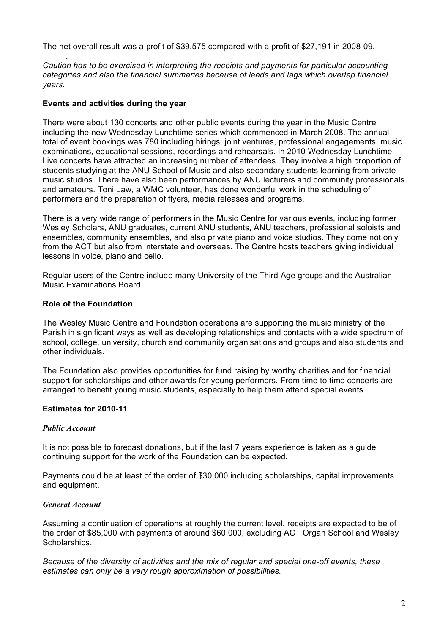The net overall result was a profit of \$39,575 compared with a profit of \$27,191 in 2008-09.

*Caution has to be exercised in interpreting the receipts and payments for particular accounting categories and also the financial summaries because of leads and lags which overlap financial years.* 

#### **Events and activities during the year**

.

There were about 130 concerts and other public events during the year in the Music Centre including the new Wednesday Lunchtime series which commenced in March 2008. The annual total of event bookings was 780 including hirings, joint ventures, professional engagements, music examinations, educational sessions, recordings and rehearsals. In 2010 Wednesday Lunchtime Live concerts have attracted an increasing number of attendees. They involve a high proportion of students studying at the ANU School of Music and also secondary students learning from private music studios. There have also been performances by ANU lecturers and community professionals and amateurs. Toni Law, a WMC volunteer, has done wonderful work in the scheduling of performers and the preparation of flyers, media releases and programs.

There is a very wide range of performers in the Music Centre for various events, including former Wesley Scholars, ANU graduates, current ANU students, ANU teachers, professional soloists and ensembles, community ensembles, and also private piano and voice studios. They come not only from the ACT but also from interstate and overseas. The Centre hosts teachers giving individual lessons in voice, piano and cello.

Regular users of the Centre include many University of the Third Age groups and the Australian Music Examinations Board.

#### **Role of the Foundation**

The Wesley Music Centre and Foundation operations are supporting the music ministry of the Parish in significant ways as well as developing relationships and contacts with a wide spectrum of school, college, university, church and community organisations and groups and also students and other individuals.

The Foundation also provides opportunities for fund raising by worthy charities and for financial support for scholarships and other awards for young performers. From time to time concerts are arranged to benefit young music students, especially to help them attend special events.

#### **Estimates for 2010-11**

#### *Public Account*

It is not possible to forecast donations, but if the last 7 years experience is taken as a guide continuing support for the work of the Foundation can be expected.

Payments could be at least of the order of \$30,000 including scholarships, capital improvements and equipment.

#### *General Account*

Assuming a continuation of operations at roughly the current level, receipts are expected to be of the order of \$85,000 with payments of around \$60,000, excluding ACT Organ School and Wesley Scholarships.

*Because of the diversity of activities and the mix of regular and special one-off events, these estimates can only be a very rough approximation of possibilities.*